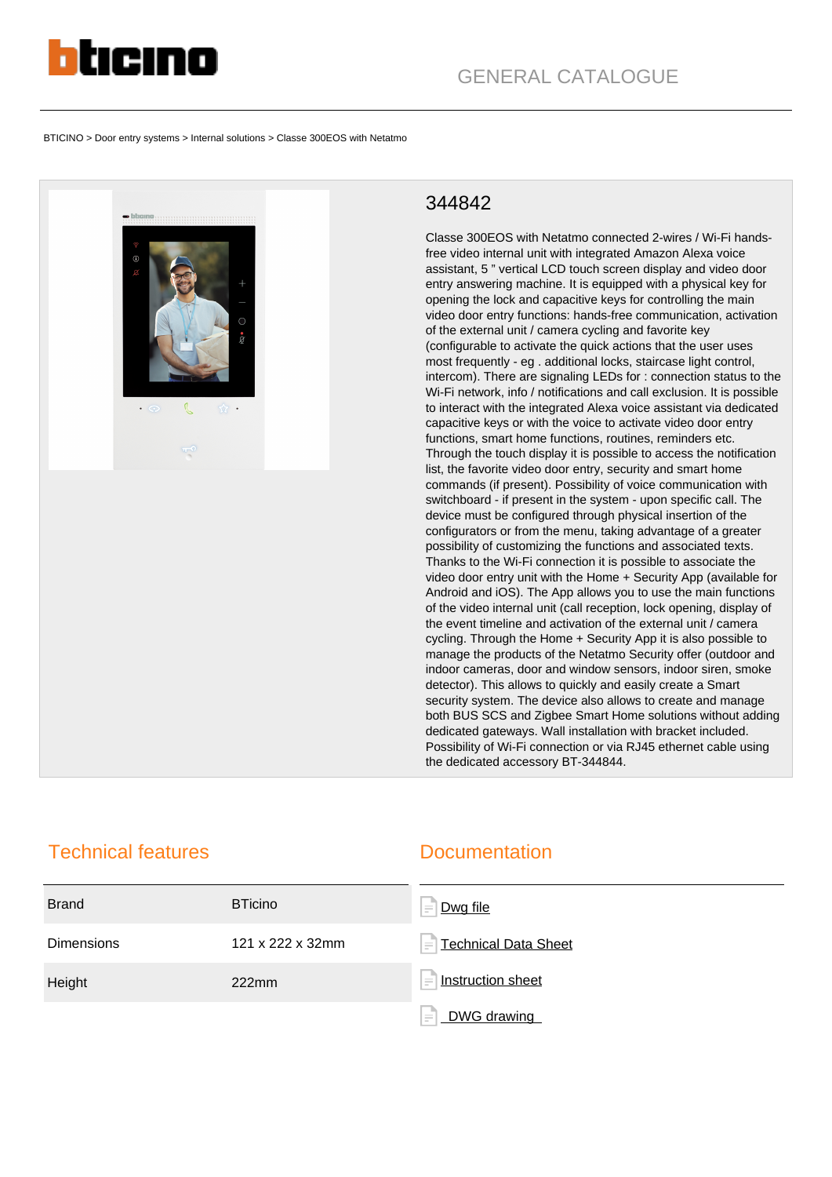

BTICINO > Door entry systems > Internal solutions > Classe 300EOS with Netatmo



## 344842

Classe 300EOS with Netatmo connected 2-wires / Wi-Fi handsfree video internal unit with integrated Amazon Alexa voice assistant, 5 " vertical LCD touch screen display and video door entry answering machine. It is equipped with a physical key for opening the lock and capacitive keys for controlling the main video door entry functions: hands-free communication, activation of the external unit / camera cycling and favorite key (configurable to activate the quick actions that the user uses most frequently - eg . additional locks, staircase light control, intercom). There are signaling LEDs for : connection status to the Wi-Fi network, info / notifications and call exclusion. It is possible to interact with the integrated Alexa voice assistant via dedicated capacitive keys or with the voice to activate video door entry functions, smart home functions, routines, reminders etc. Through the touch display it is possible to access the notification list, the favorite video door entry, security and smart home commands (if present). Possibility of voice communication with switchboard - if present in the system - upon specific call. The device must be configured through physical insertion of the configurators or from the menu, taking advantage of a greater possibility of customizing the functions and associated texts. Thanks to the Wi-Fi connection it is possible to associate the video door entry unit with the Home + Security App (available for Android and iOS). The App allows you to use the main functions of the video internal unit (call reception, lock opening, display of the event timeline and activation of the external unit / camera cycling. Through the Home + Security App it is also possible to manage the products of the Netatmo Security offer (outdoor and indoor cameras, door and window sensors, indoor siren, smoke detector). This allows to quickly and easily create a Smart security system. The device also allows to create and manage both BUS SCS and Zigbee Smart Home solutions without adding dedicated gateways. Wall installation with bracket included. Possibility of Wi-Fi connection or via RJ45 ethernet cable using the dedicated accessory BT-344844.

## Technical features

## **Documentation**

| <b>Brand</b>      | <b>BTicino</b>   | Dwg file<br>$\equiv$                   |
|-------------------|------------------|----------------------------------------|
| <b>Dimensions</b> | 121 x 222 x 32mm | Technical Data Sheet<br>$\equiv$       |
| Height            | 222mm            | Instruction sheet<br>$\qquad \qquad =$ |
|                   |                  | E<br>DWG drawing<br>and a              |